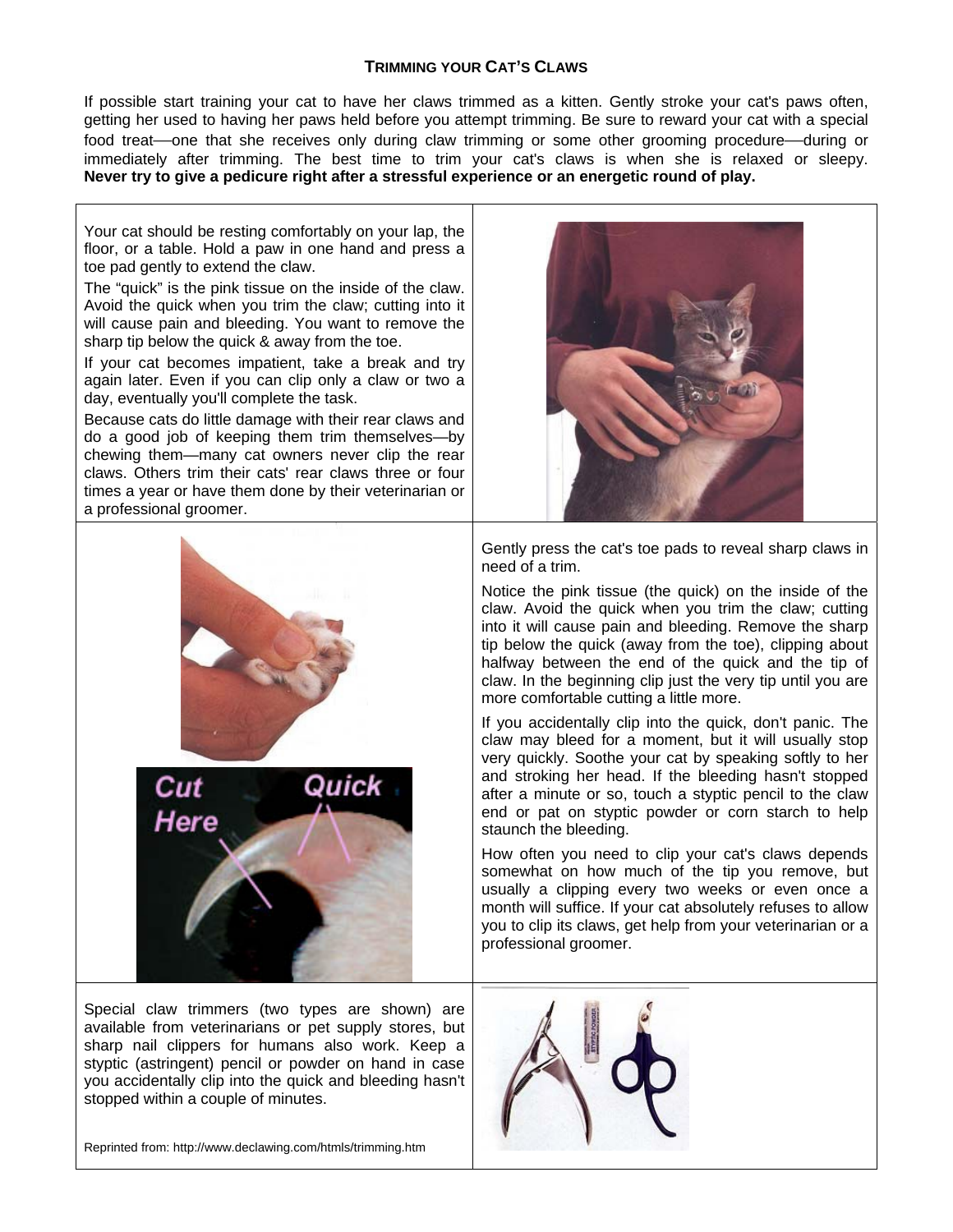### **TRIMMING YOUR CAT'S CLAWS**

If possible start training your cat to have her claws trimmed as a kitten. Gently stroke your cat's paws often, getting her used to having her paws held before you attempt trimming. Be sure to reward your cat with a special food treat—one that she receives only during claw trimming or some other grooming procedure—during or immediately after trimming. The best time to trim your cat's claws is when she is relaxed or sleepy. **Never try to give a pedicure right after a stressful experience or an energetic round of play.** 

Your cat should be resting comfortably on your lap, the floor, or a table. Hold a paw in one hand and press a toe pad gently to extend the claw.

The "quick" is the pink tissue on the inside of the claw. Avoid the quick when you trim the claw; cutting into it will cause pain and bleeding. You want to remove the sharp tip below the quick & away from the toe.

If your cat becomes impatient, take a break and try again later. Even if you can clip only a claw or two a day, eventually you'll complete the task.

Because cats do little damage with their rear claws and do a good job of keeping them trim themselves—by chewing them—many cat owners never clip the rear claws. Others trim their cats' rear claws three or four times a year or have them done by their veterinarian or a professional groomer.





Special claw trimmers (two types are shown) are available from veterinarians or pet supply stores, but sharp nail clippers for humans also work. Keep a styptic (astringent) pencil or powder on hand in case you accidentally clip into the quick and bleeding hasn't stopped within a couple of minutes.



Gently press the cat's toe pads to reveal sharp claws in need of a trim.

Notice the pink tissue (the quick) on the inside of the claw. Avoid the quick when you trim the claw; cutting into it will cause pain and bleeding. Remove the sharp tip below the quick (away from the toe), clipping about halfway between the end of the quick and the tip of claw. In the beginning clip just the very tip until you are more comfortable cutting a little more.

If you accidentally clip into the quick, don't panic. The claw may bleed for a moment, but it will usually stop very quickly. Soothe your cat by speaking softly to her and stroking her head. If the bleeding hasn't stopped after a minute or so, touch a styptic pencil to the claw end or pat on styptic powder or corn starch to help staunch the bleeding.

How often you need to clip your cat's claws depends somewhat on how much of the tip you remove, but usually a clipping every two weeks or even once a month will suffice. If your cat absolutely refuses to allow you to clip its claws, get help from your veterinarian or a professional groomer.



Reprinted from: http://www.declawing.com/htmls/trimming.htm